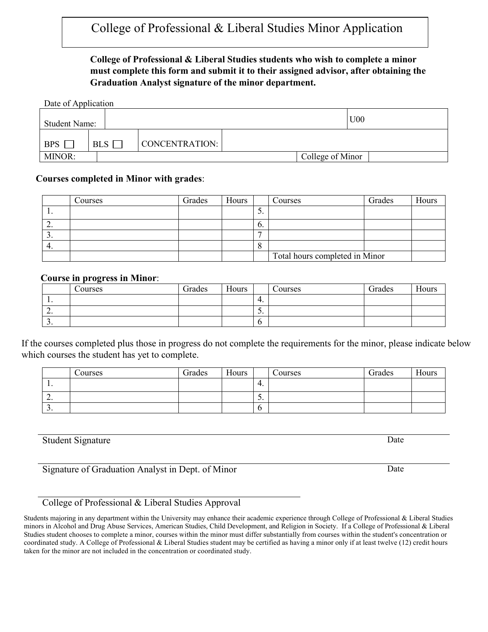## College of Professional & Liberal Studies Minor Application

#### **College of Professional & Liberal Studies students who wish to complete a minor must complete this form and submit it to their assigned advisor, after obtaining the Graduation Analyst signature of the minor department.**

| Date of Application  |     |                       |  |                  |                 |  |  |  |  |
|----------------------|-----|-----------------------|--|------------------|-----------------|--|--|--|--|
| <b>Student Name:</b> |     |                       |  |                  | U <sub>00</sub> |  |  |  |  |
| <b>BPS</b>           | BLS | <b>CONCENTRATION:</b> |  |                  |                 |  |  |  |  |
| MINOR:               |     |                       |  | College of Minor |                 |  |  |  |  |

#### **Courses completed in Minor with grades**:

|     | Courses | Grades | Hours |                 | Courses                        | Grades | Hours |
|-----|---------|--------|-------|-----------------|--------------------------------|--------|-------|
| . . |         |        |       | ◡.              |                                |        |       |
| ٠.  |         |        |       | $\mathfrak{b}.$ |                                |        |       |
| J.  |         |        |       | −               |                                |        |       |
|     |         |        |       | Ô               |                                |        |       |
|     |         |        |       |                 | Total hours completed in Minor |        |       |

#### **Course in progress in Minor**:

|          | Courses | Grades | Hours |         | Courses | Grades | Hours |
|----------|---------|--------|-------|---------|---------|--------|-------|
| . .      |         |        |       | 4.      |         |        |       |
| <u>.</u> |         |        |       | ◡.      |         |        |       |
| <u>.</u> |         |        |       | $\circ$ |         |        |       |

If the courses completed plus those in progress do not complete the requirements for the minor, please indicate below which courses the student has yet to complete.

|          | Courses | Grades | <b>TT</b><br>Hours |                          | Courses | Grades | Hours |
|----------|---------|--------|--------------------|--------------------------|---------|--------|-------|
| . .      |         |        |                    | 4.                       |         |        |       |
| <u>.</u> |         |        |                    | $\overline{\phantom{a}}$ |         |        |       |
| <u>.</u> |         |        |                    | O                        |         |        |       |

#### Student Signature Date

Signature of Graduation Analyst in Dept. of Minor Date

### College of Professional & Liberal Studies Approval

Students majoring in any department within the University may enhance their academic experience through College of Professional & Liberal Studies minors in Alcohol and Drug Abuse Services, American Studies, Child Development, and Religion in Society. If a College of Professional & Liberal Studies student chooses to complete a minor, courses within the minor must differ substantially from courses within the student's concentration or coordinated study. A College of Professional & Liberal Studies student may be certified as having a minor only if at least twelve (12) credit hours taken for the minor are not included in the concentration or coordinated study.